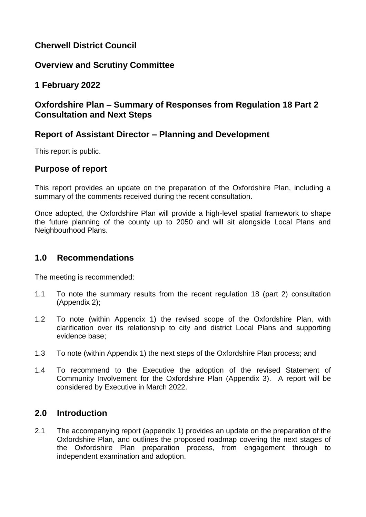# **Cherwell District Council**

# **Overview and Scrutiny Committee**

# **1 February 2022**

# **Oxfordshire Plan – Summary of Responses from Regulation 18 Part 2 Consultation and Next Steps**

# **Report of Assistant Director – Planning and Development**

This report is public.

## **Purpose of report**

This report provides an update on the preparation of the Oxfordshire Plan, including a summary of the comments received during the recent consultation.

Once adopted, the Oxfordshire Plan will provide a high-level spatial framework to shape the future planning of the county up to 2050 and will sit alongside Local Plans and Neighbourhood Plans.

## **1.0 Recommendations**

The meeting is recommended:

- 1.1 To note the summary results from the recent regulation 18 (part 2) consultation (Appendix 2);
- 1.2 To note (within Appendix 1) the revised scope of the Oxfordshire Plan, with clarification over its relationship to city and district Local Plans and supporting evidence base;
- 1.3 To note (within Appendix 1) the next steps of the Oxfordshire Plan process; and
- 1.4 To recommend to the Executive the adoption of the revised Statement of Community Involvement for the Oxfordshire Plan (Appendix 3). A report will be considered by Executive in March 2022.

### **2.0 Introduction**

2.1 The accompanying report (appendix 1) provides an update on the preparation of the Oxfordshire Plan, and outlines the proposed roadmap covering the next stages of the Oxfordshire Plan preparation process, from engagement through to independent examination and adoption.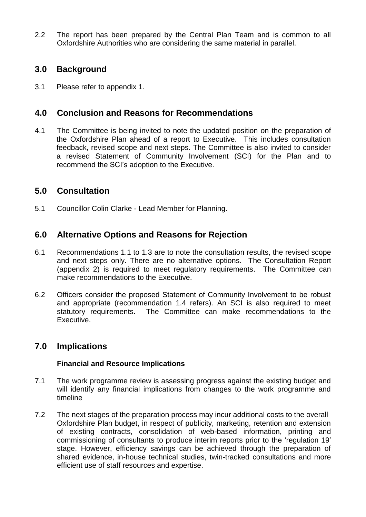2.2 The report has been prepared by the Central Plan Team and is common to all Oxfordshire Authorities who are considering the same material in parallel.

# **3.0 Background**

3.1 Please refer to appendix 1.

## **4.0 Conclusion and Reasons for Recommendations**

4.1 The Committee is being invited to note the updated position on the preparation of the Oxfordshire Plan ahead of a report to Executive. This includes consultation feedback, revised scope and next steps. The Committee is also invited to consider a revised Statement of Community Involvement (SCI) for the Plan and to recommend the SCI's adoption to the Executive.

### **5.0 Consultation**

5.1 Councillor Colin Clarke - Lead Member for Planning.

## **6.0 Alternative Options and Reasons for Rejection**

- 6.1 Recommendations 1.1 to 1.3 are to note the consultation results, the revised scope and next steps only. There are no alternative options. The Consultation Report (appendix 2) is required to meet regulatory requirements. The Committee can make recommendations to the Executive.
- 6.2 Officers consider the proposed Statement of Community Involvement to be robust and appropriate (recommendation 1.4 refers). An SCI is also required to meet statutory requirements. The Committee can make recommendations to the Executive.

### **7.0 Implications**

#### **Financial and Resource Implications**

- 7.1 The work programme review is assessing progress against the existing budget and will identify any financial implications from changes to the work programme and timeline
- 7.2 The next stages of the preparation process may incur additional costs to the overall Oxfordshire Plan budget, in respect of publicity, marketing, retention and extension of existing contracts, consolidation of web-based information, printing and commissioning of consultants to produce interim reports prior to the 'regulation 19' stage. However, efficiency savings can be achieved through the preparation of shared evidence, in-house technical studies, twin-tracked consultations and more efficient use of staff resources and expertise.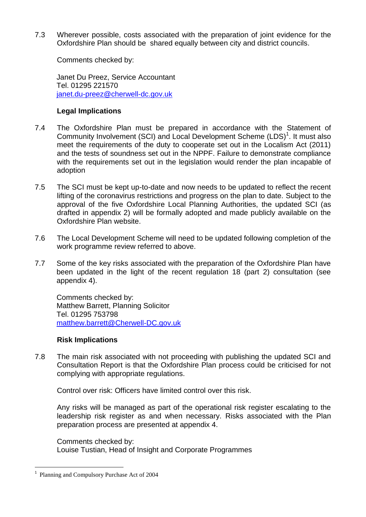7.3 Wherever possible, costs associated with the preparation of joint evidence for the Oxfordshire Plan should be shared equally between city and district councils.

Comments checked by:

Janet Du Preez, Service Accountant Tel. 01295 221570 [janet.du-preez@cherwell-dc.gov.uk](mailto:janet.du-preez@cherwell-dc.gov.uk)

#### **Legal Implications**

- 7.4 The Oxfordshire Plan must be prepared in accordance with the Statement of Community Involvement (SCI) and Local Development Scheme (LDS)<sup>1</sup>. It must also meet the requirements of the duty to cooperate set out in the Localism Act (2011) and the tests of soundness set out in the NPPF. Failure to demonstrate compliance with the requirements set out in the legislation would render the plan incapable of adoption
- 7.5 The SCI must be kept up-to-date and now needs to be updated to reflect the recent lifting of the coronavirus restrictions and progress on the plan to date. Subject to the approval of the five Oxfordshire Local Planning Authorities, the updated SCI (as drafted in appendix 2) will be formally adopted and made publicly available on the Oxfordshire Plan website.
- 7.6 The Local Development Scheme will need to be updated following completion of the work programme review referred to above.
- 7.7 Some of the key risks associated with the preparation of the Oxfordshire Plan have been updated in the light of the recent regulation 18 (part 2) consultation (see appendix 4).

Comments checked by: Matthew Barrett, Planning Solicitor Tel. 01295 753798 [matthew.barrett@Cherwell-DC.gov.uk](mailto:matthew.barrett@Cherwell-DC.gov.uk)

#### **Risk Implications**

7.8 The main risk associated with not proceeding with publishing the updated SCI and Consultation Report is that the Oxfordshire Plan process could be criticised for not complying with appropriate regulations.

Control over risk: Officers have limited control over this risk.

Any risks will be managed as part of the operational risk register escalating to the leadership risk register as and when necessary. Risks associated with the Plan preparation process are presented at appendix 4.

Comments checked by: Louise Tustian, Head of Insight and Corporate Programmes

1

<sup>&</sup>lt;sup>1</sup> Planning and Compulsory Purchase Act of 2004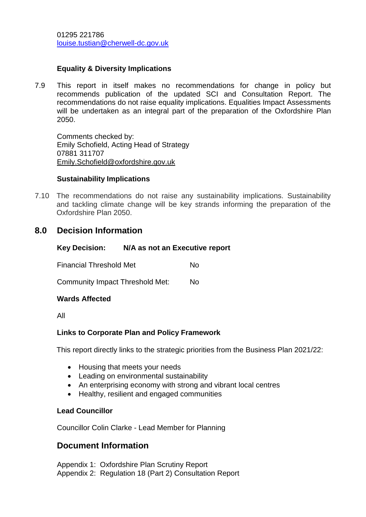### **Equality & Diversity Implications**

7.9 This report in itself makes no recommendations for change in policy but recommends publication of the updated SCI and Consultation Report. The recommendations do not raise equality implications. Equalities Impact Assessments will be undertaken as an integral part of the preparation of the Oxfordshire Plan 2050.

Comments checked by: Emily Schofield, Acting Head of Strategy 07881 311707 [Emily.Schofield@oxfordshire.gov.uk](mailto:Emily.Schofield@oxfordshire.gov.uk)

#### **Sustainability Implications**

7.10 The recommendations do not raise any sustainability implications. Sustainability and tackling climate change will be key strands informing the preparation of the Oxfordshire Plan 2050.

### **8.0 Decision Information**

#### **Key Decision: N/A as not an Executive report**

Financial Threshold Met No

Community Impact Threshold Met: No

#### **Wards Affected**

All

#### **Links to Corporate Plan and Policy Framework**

This report directly links to the strategic priorities from the Business Plan 2021/22:

- Housing that meets your needs
- Leading on environmental sustainability
- An enterprising economy with strong and vibrant local centres
- Healthy, resilient and engaged communities

#### **Lead Councillor**

Councillor Colin Clarke - Lead Member for Planning

### **Document Information**

Appendix 1: Oxfordshire Plan Scrutiny Report Appendix 2: Regulation 18 (Part 2) Consultation Report